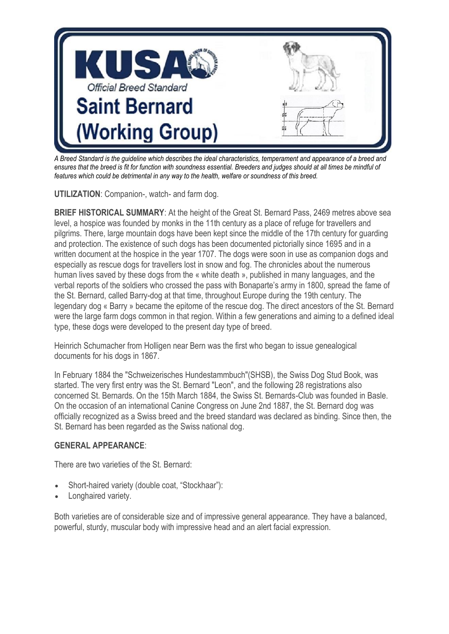

*A Breed Standard is the guideline which describes the ideal characteristics, temperament and appearance of a breed and ensures that the breed is fit for function with soundness essential. Breeders and judges should at all times be mindful of features which could be detrimental in any way to the health, welfare or soundness of this breed.*

**UTILIZATION**: Companion-, watch- and farm dog.

**BRIEF HISTORICAL SUMMARY:** At the height of the Great St. Bernard Pass, 2469 metres above sea level, a hospice was founded by monks in the 11th century as a place of refuge for travellers and pilgrims. There, large mountain dogs have been kept since the middle of the 17th century for guarding and protection. The existence of such dogs has been documented pictorially since 1695 and in a written document at the hospice in the year 1707. The dogs were soon in use as companion dogs and especially as rescue dogs for travellers lost in snow and fog. The chronicles about the numerous human lives saved by these dogs from the « white death », published in many languages, and the verbal reports of the soldiers who crossed the pass with Bonaparte's army in 1800, spread the fame of the St. Bernard, called Barry-dog at that time, throughout Europe during the 19th century. The legendary dog « Barry » became the epitome of the rescue dog. The direct ancestors of the St. Bernard were the large farm dogs common in that region. Within a few generations and aiming to a defined ideal type, these dogs were developed to the present day type of breed.

Heinrich Schumacher from Holligen near Bern was the first who began to issue genealogical documents for his dogs in 1867.

In February 1884 the "Schweizerisches Hundestammbuch"(SHSB), the Swiss Dog Stud Book, was started. The very first entry was the St. Bernard "Leon", and the following 28 registrations also concerned St. Bernards. On the 15th March 1884, the Swiss St. Bernards-Club was founded in Basle. On the occasion of an international Canine Congress on June 2nd 1887, the St. Bernard dog was officially recognized as a Swiss breed and the breed standard was declared as binding. Since then, the St. Bernard has been regarded as the Swiss national dog.

# **GENERAL APPEARANCE**:

There are two varieties of the St. Bernard:

- Short-haired variety (double coat, "Stockhaar"):
- Longhaired variety.

Both varieties are of considerable size and of impressive general appearance. They have a balanced, powerful, sturdy, muscular body with impressive head and an alert facial expression.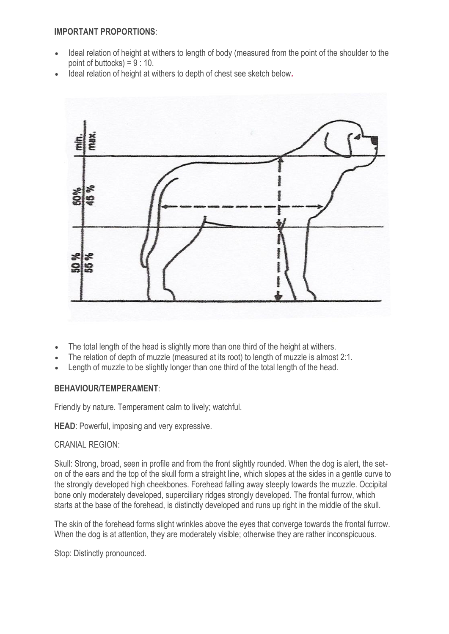## **IMPORTANT PROPORTIONS**:

- Ideal relation of height at withers to length of body (measured from the point of the shoulder to the point of buttocks) =  $9:10$ .
- Ideal relation of height at withers to depth of chest see sketch below*.*



- The total length of the head is slightly more than one third of the height at withers.
- The relation of depth of muzzle (measured at its root) to length of muzzle is almost 2:1.
- Length of muzzle to be slightly longer than one third of the total length of the head.

# **BEHAVIOUR/TEMPERAMENT**:

Friendly by nature. Temperament calm to lively; watchful.

**HEAD**: Powerful, imposing and very expressive.

# CRANIAL REGION:

Skull: Strong, broad, seen in profile and from the front slightly rounded. When the dog is alert, the seton of the ears and the top of the skull form a straight line, which slopes at the sides in a gentle curve to the strongly developed high cheekbones. Forehead falling away steeply towards the muzzle. Occipital bone only moderately developed, superciliary ridges strongly developed. The frontal furrow, which starts at the base of the forehead, is distinctly developed and runs up right in the middle of the skull.

The skin of the forehead forms slight wrinkles above the eyes that converge towards the frontal furrow. When the dog is at attention, they are moderately visible; otherwise they are rather inconspicuous.

Stop: Distinctly pronounced.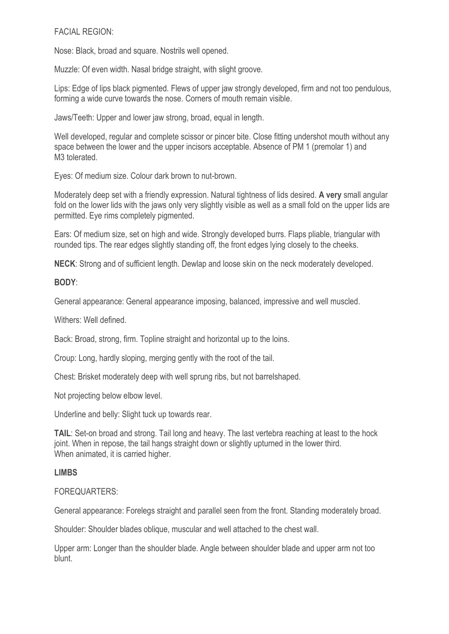## FACIAL REGION:

Nose: Black, broad and square. Nostrils well opened.

Muzzle: Of even width. Nasal bridge straight, with slight groove.

Lips: Edge of lips black pigmented. Flews of upper jaw strongly developed, firm and not too pendulous, forming a wide curve towards the nose. Corners of mouth remain visible.

Jaws/Teeth: Upper and lower jaw strong, broad, equal in length.

Well developed, regular and complete scissor or pincer bite. Close fitting undershot mouth without any space between the lower and the upper incisors acceptable. Absence of PM 1 (premolar 1) and M<sub>3</sub> tolerated

Eyes: Of medium size. Colour dark brown to nut-brown.

Moderately deep set with a friendly expression. Natural tightness of lids desired. **A very** small angular fold on the lower lids with the jaws only very slightly visible as well as a small fold on the upper lids are permitted. Eye rims completely pigmented.

Ears: Of medium size, set on high and wide. Strongly developed burrs. Flaps pliable, triangular with rounded tips. The rear edges slightly standing off, the front edges lying closely to the cheeks.

**NECK**: Strong and of sufficient length. Dewlap and loose skin on the neck moderately developed.

**BODY**:

General appearance: General appearance imposing, balanced, impressive and well muscled.

Withers: Well defined.

Back: Broad, strong, firm. Topline straight and horizontal up to the loins.

Croup: Long, hardly sloping, merging gently with the root of the tail.

Chest: Brisket moderately deep with well sprung ribs, but not barrelshaped.

Not projecting below elbow level.

Underline and belly: Slight tuck up towards rear.

**TAIL**: Set-on broad and strong. Tail long and heavy. The last vertebra reaching at least to the hock joint. When in repose, the tail hangs straight down or slightly upturned in the lower third. When animated, it is carried higher.

# **LIMBS**

#### FOREQUARTERS:

General appearance: Forelegs straight and parallel seen from the front. Standing moderately broad.

Shoulder: Shoulder blades oblique, muscular and well attached to the chest wall.

Upper arm: Longer than the shoulder blade. Angle between shoulder blade and upper arm not too blunt.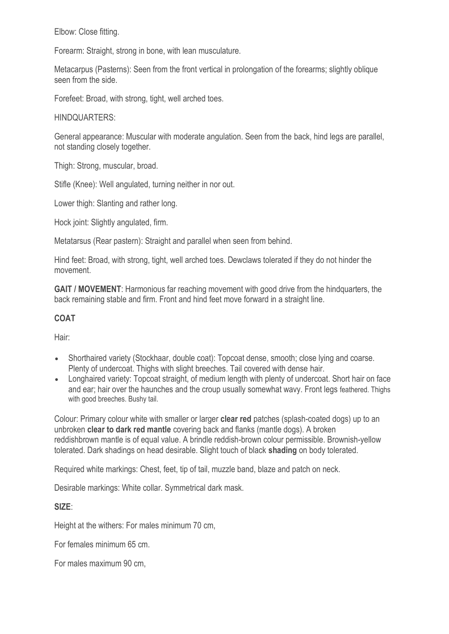Elbow: Close fitting.

Forearm: Straight, strong in bone, with lean musculature.

Metacarpus (Pasterns): Seen from the front vertical in prolongation of the forearms; slightly oblique seen from the side.

Forefeet: Broad, with strong, tight, well arched toes.

HINDQUARTERS:

General appearance: Muscular with moderate angulation. Seen from the back, hind legs are parallel, not standing closely together.

Thigh: Strong, muscular, broad.

Stifle (Knee): Well angulated, turning neither in nor out.

Lower thigh: Slanting and rather long.

Hock joint: Slightly angulated, firm.

Metatarsus (Rear pastern): Straight and parallel when seen from behind.

Hind feet: Broad, with strong, tight, well arched toes. Dewclaws tolerated if they do not hinder the movement.

**GAIT / MOVEMENT**: Harmonious far reaching movement with good drive from the hindquarters, the back remaining stable and firm. Front and hind feet move forward in a straight line.

# **COAT**

Hair:

- Shorthaired variety (Stockhaar, double coat): Topcoat dense, smooth; close lying and coarse. Plenty of undercoat. Thighs with slight breeches. Tail covered with dense hair.
- Longhaired variety: Topcoat straight, of medium length with plenty of undercoat. Short hair on face and ear; hair over the haunches and the croup usually somewhat wavy. Front legs feathered. Thighs with good breeches. Bushy tail.

Colour: Primary colour white with smaller or larger **clear red** patches (splash-coated dogs) up to an unbroken **clear to dark red mantle** covering back and flanks (mantle dogs). A broken reddishbrown mantle is of equal value. A brindle reddish-brown colour permissible. Brownish-yellow tolerated. Dark shadings on head desirable. Slight touch of black **shading** on body tolerated.

Required white markings: Chest, feet, tip of tail, muzzle band, blaze and patch on neck.

Desirable markings: White collar. Symmetrical dark mask.

**SIZE**:

Height at the withers: For males minimum 70 cm,

For females minimum 65 cm.

For males maximum 90 cm,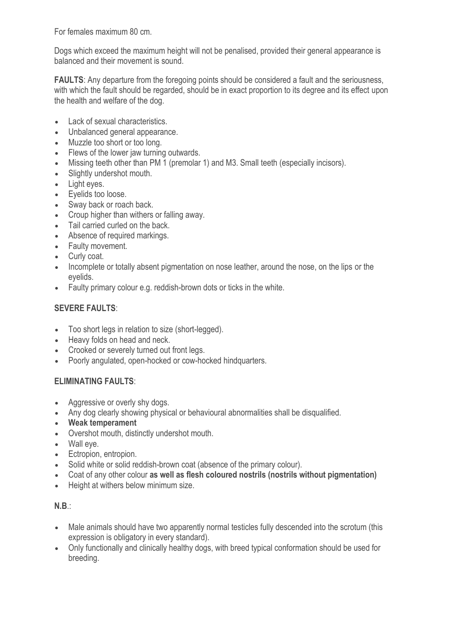For females maximum 80 cm.

Dogs which exceed the maximum height will not be penalised, provided their general appearance is balanced and their movement is sound.

**FAULTS:** Any departure from the foregoing points should be considered a fault and the seriousness, with which the fault should be regarded, should be in exact proportion to its degree and its effect upon the health and welfare of the dog.

- Lack of sexual characteristics.
- Unbalanced general appearance.
- Muzzle too short or too long.
- Flews of the lower jaw turning outwards.
- Missing teeth other than PM 1 (premolar 1) and M3. Small teeth (especially incisors).
- Slightly undershot mouth.
- Light eyes.
- Eyelids too loose.
- Sway back or roach back.
- Croup higher than withers or falling away.
- Tail carried curled on the back.
- Absence of required markings.
- Faulty movement.
- Curly coat.
- Incomplete or totally absent pigmentation on nose leather, around the nose, on the lips or the eyelids.
- Faulty primary colour e.g. reddish-brown dots or ticks in the white.

# **SEVERE FAULTS**:

- Too short legs in relation to size (short-legged).
- Heavy folds on head and neck.
- Crooked or severely turned out front legs.
- Poorly angulated, open-hocked or cow-hocked hindquarters.

# **ELIMINATING FAULTS**:

- Aggressive or overly shy dogs.
- Any dog clearly showing physical or behavioural abnormalities shall be disqualified.
- **Weak temperament**
- Overshot mouth, distinctly undershot mouth.
- Wall eye.
- **Ectropion, entropion.**
- Solid white or solid reddish-brown coat (absence of the primary colour).
- Coat of any other colour **as well as flesh coloured nostrils (nostrils without pigmentation)**
- Height at withers below minimum size.

# **N.B**.:

- Male animals should have two apparently normal testicles fully descended into the scrotum (this expression is obligatory in every standard).
- Only functionally and clinically healthy dogs, with breed typical conformation should be used for breeding.